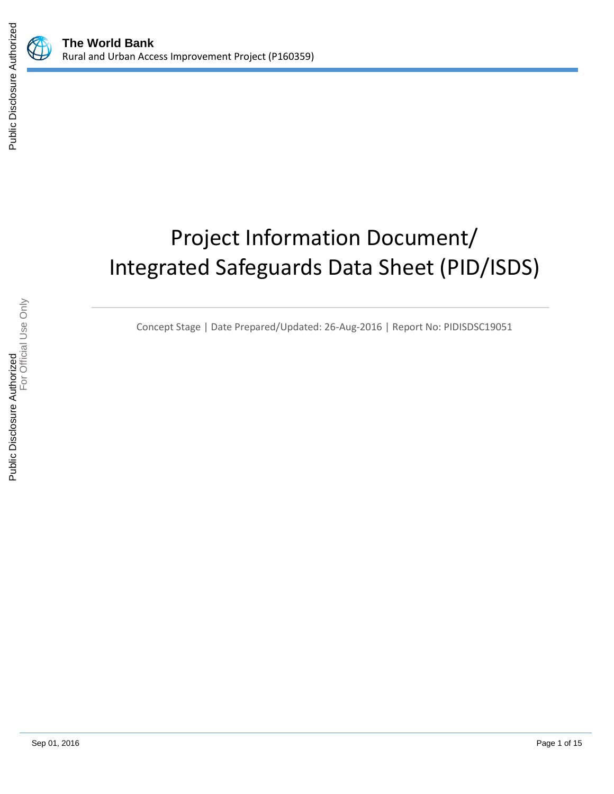

## Project Information Document/ Integrated Safeguards Data Sheet (PID/ISDS)

Concept Stage | Date Prepared/Updated: 26-Aug-2016 | Report No: PIDISDSC19051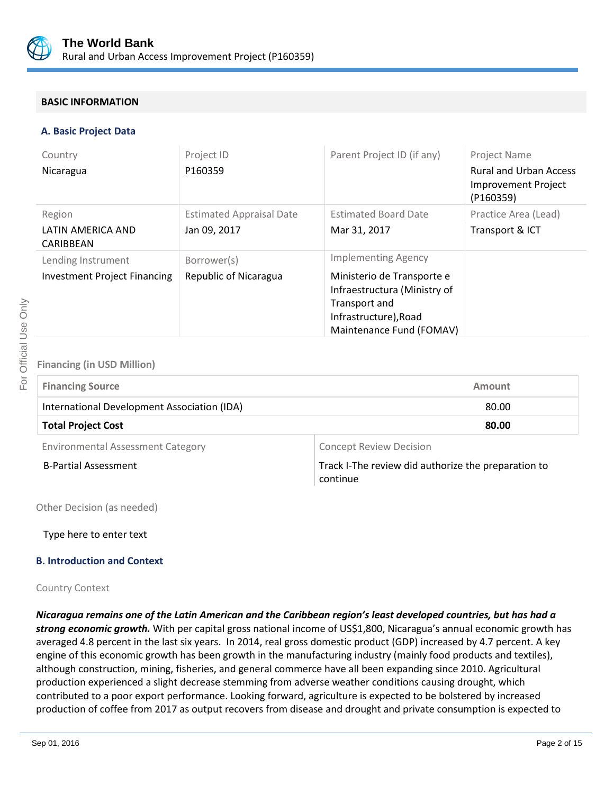

#### **BASIC INFORMATION**

#### **A. Basic Project Data**

| Country                             | Project ID                      | Parent Project ID (if any)                                                                                                       | Project Name                                                             |
|-------------------------------------|---------------------------------|----------------------------------------------------------------------------------------------------------------------------------|--------------------------------------------------------------------------|
| Nicaragua                           | P160359                         |                                                                                                                                  | <b>Rural and Urban Access</b><br><b>Improvement Project</b><br>(P160359) |
| Region                              | <b>Estimated Appraisal Date</b> | <b>Estimated Board Date</b>                                                                                                      | Practice Area (Lead)                                                     |
| LATIN AMERICA AND<br>CARIBBEAN      | Jan 09, 2017                    | Mar 31, 2017                                                                                                                     | Transport & ICT                                                          |
| Lending Instrument                  | Borrower(s)                     | <b>Implementing Agency</b>                                                                                                       |                                                                          |
| <b>Investment Project Financing</b> | Republic of Nicaragua           | Ministerio de Transporte e<br>Infraestructura (Ministry of<br>Transport and<br>Infrastructure), Road<br>Maintenance Fund (FOMAV) |                                                                          |

#### **Financing (in USD Million)**

| <b>Financing Source</b>                     | Amount |
|---------------------------------------------|--------|
| International Development Association (IDA) | 80.00  |
| <b>Total Project Cost</b>                   | 80.00  |
|                                             |        |

Environmental Assessment Category **Concept Review Decision** 

B-Partial Assessment Track I-The review did authorize the preparation to continue

Other Decision (as needed)

Type here to enter text

#### **B. Introduction and Context**

#### Country Context

*Nicaragua remains one of the Latin American and the Caribbean region's least developed countries, but has had a strong economic growth.* With per capital gross national income of US\$1,800, Nicaragua's annual economic growth has averaged 4.8 percent in the last six years. In 2014, real gross domestic product (GDP) increased by 4.7 percent. A key engine of this economic growth has been growth in the manufacturing industry (mainly food products and textiles), although construction, mining, fisheries, and general commerce have all been expanding since 2010. Agricultural production experienced a slight decrease stemming from adverse weather conditions causing drought, which contributed to a poor export performance. Looking forward, agriculture is expected to be bolstered by increased production of coffee from 2017 as output recovers from disease and drought and private consumption is expected to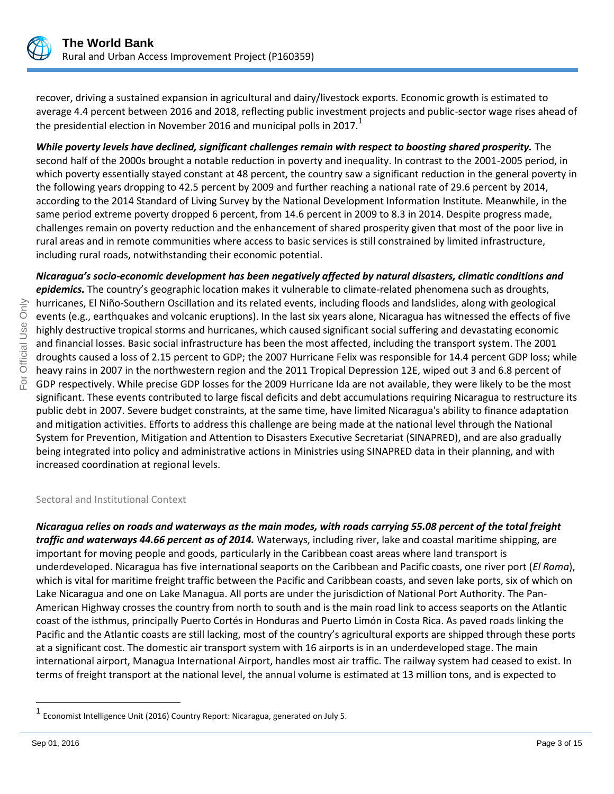

recover, driving a sustained expansion in agricultural and dairy/livestock exports. Economic growth is estimated to average 4.4 percent between 2016 and 2018, reflecting public investment projects and public-sector wage rises ahead of the presidential election in November 2016 and municipal polls in 2017.<sup>1</sup>

*While poverty levels have declined, significant challenges remain with respect to boosting shared prosperity.* The second half of the 2000s brought a notable reduction in poverty and inequality. In contrast to the 2001-2005 period, in which poverty essentially stayed constant at 48 percent, the country saw a significant reduction in the general poverty in the following years dropping to 42.5 percent by 2009 and further reaching a national rate of 29.6 percent by 2014, according to the 2014 Standard of Living Survey by the National Development Information Institute. Meanwhile, in the same period extreme poverty dropped 6 percent, from 14.6 percent in 2009 to 8.3 in 2014. Despite progress made, challenges remain on poverty reduction and the enhancement of shared prosperity given that most of the poor live in rural areas and in remote communities where access to basic services is still constrained by limited infrastructure, including rural roads, notwithstanding their economic potential.

*Nicaragua's socio-economic development has been negatively affected by natural disasters, climatic conditions and epidemics.* The country's geographic location makes it vulnerable to climate-related phenomena such as droughts, hurricanes, El Niño-Southern Oscillation and its related events, including floods and landslides, along with geological events (e.g., earthquakes and volcanic eruptions). In the last six years alone, Nicaragua has witnessed the effects of five highly destructive tropical storms and hurricanes, which caused significant social suffering and devastating economic and financial losses. Basic social infrastructure has been the most affected, including the transport system. The 2001 droughts caused a loss of 2.15 percent to GDP; the 2007 Hurricane Felix was responsible for 14.4 percent GDP loss; while heavy rains in 2007 in the northwestern region and the 2011 Tropical Depression 12E, wiped out 3 and 6.8 percent of GDP respectively. While precise GDP losses for the 2009 Hurricane Ida are not available, they were likely to be the most significant. These events contributed to large fiscal deficits and debt accumulations requiring Nicaragua to restructure its public debt in 2007. Severe budget constraints, at the same time, have limited Nicaragua's ability to finance adaptation and mitigation activities. Efforts to address this challenge are being made at the national level through the National System for Prevention, Mitigation and Attention to Disasters Executive Secretariat (SINAPRED), and are also gradually being integrated into policy and administrative actions in Ministries using SINAPRED data in their planning, and with increased coordination at regional levels.

#### Sectoral and Institutional Context

*Nicaragua relies on roads and waterways as the main modes, with roads carrying 55.08 percent of the total freight traffic and waterways 44.66 percent as of 2014.* Waterways, including river, lake and coastal maritime shipping, are important for moving people and goods, particularly in the Caribbean coast areas where land transport is underdeveloped. Nicaragua has five international seaports on the Caribbean and Pacific coasts, one river port (*El Rama*), which is vital for maritime freight traffic between the Pacific and Caribbean coasts, and seven lake ports, six of which on Lake Nicaragua and one on Lake Managua. All ports are under the jurisdiction of National Port Authority. The Pan-American Highway crosses the country from north to south and is the main road link to access seaports on the Atlantic coast of the isthmus, principally Puerto Cortés in Honduras and Puerto Limón in Costa Rica. As paved roads linking the Pacific and the Atlantic coasts are still lacking, most of the country's agricultural exports are shipped through these ports at a significant cost. The domestic air transport system with 16 airports is in an underdeveloped stage. The main international airport, Managua International Airport, handles most air traffic. The railway system had ceased to exist. In terms of freight transport at the national level, the annual volume is estimated at 13 million tons, and is expected to

 $\overline{a}$ 

<sup>1</sup> Economist Intelligence Unit (2016) Country Report: Nicaragua, generated on July 5.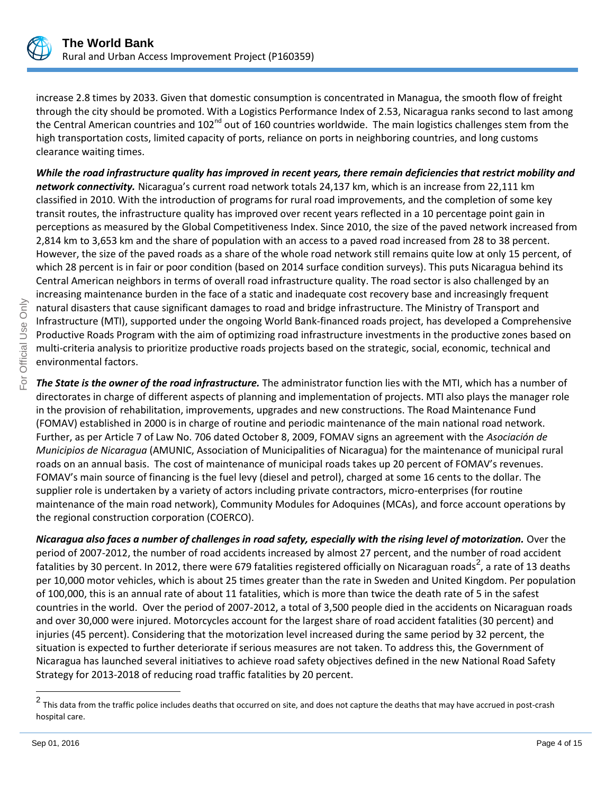

increase 2.8 times by 2033. Given that domestic consumption is concentrated in Managua, the smooth flow of freight through the city should be promoted. With a Logistics Performance Index of 2.53, Nicaragua ranks second to last among the Central American countries and 102<sup>nd</sup> out of 160 countries worldwide. The main logistics challenges stem from the high transportation costs, limited capacity of ports, reliance on ports in neighboring countries, and long customs clearance waiting times.

*While the road infrastructure quality has improved in recent years, there remain deficiencies that restrict mobility and network connectivity.* Nicaragua's current road network totals 24,137 km, which is an increase from 22,111 km classified in 2010. With the introduction of programs for rural road improvements, and the completion of some key transit routes, the infrastructure quality has improved over recent years reflected in a 10 percentage point gain in perceptions as measured by the Global Competitiveness Index. Since 2010, the size of the paved network increased from 2,814 km to 3,653 km and the share of population with an access to a paved road increased from 28 to 38 percent. However, the size of the paved roads as a share of the whole road network still remains quite low at only 15 percent, of which 28 percent is in fair or poor condition (based on 2014 surface condition surveys). This puts Nicaragua behind its Central American neighbors in terms of overall road infrastructure quality. The road sector is also challenged by an increasing maintenance burden in the face of a static and inadequate cost recovery base and increasingly frequent natural disasters that cause significant damages to road and bridge infrastructure. The Ministry of Transport and Infrastructure (MTI), supported under the ongoing World Bank-financed roads project, has developed a Comprehensive Productive Roads Program with the aim of optimizing road infrastructure investments in the productive zones based on multi-criteria analysis to prioritize productive roads projects based on the strategic, social, economic, technical and environmental factors.

*The State is the owner of the road infrastructure.* The administrator function lies with the MTI, which has a number of directorates in charge of different aspects of planning and implementation of projects. MTI also plays the manager role in the provision of rehabilitation, improvements, upgrades and new constructions. The Road Maintenance Fund (FOMAV) established in 2000 is in charge of routine and periodic maintenance of the main national road network. Further, as per Article 7 of Law No. 706 dated October 8, 2009, FOMAV signs an agreement with the *Asociación de Municipios de Nicaragua* (AMUNIC, Association of Municipalities of Nicaragua) for the maintenance of municipal rural roads on an annual basis. The cost of maintenance of municipal roads takes up 20 percent of FOMAV's revenues. FOMAV's main source of financing is the fuel levy (diesel and petrol), charged at some 16 cents to the dollar. The supplier role is undertaken by a variety of actors including private contractors, micro-enterprises (for routine maintenance of the main road network), Community Modules for Adoquines (MCAs), and force account operations by the regional construction corporation (COERCO).

*Nicaragua also faces a number of challenges in road safety, especially with the rising level of motorization.* Over the period of 2007-2012, the number of road accidents increased by almost 27 percent, and the number of road accident fatalities by 30 percent. In 2012, there were 679 fatalities registered officially on Nicaraguan roads<sup>2</sup>, a rate of 13 deaths per 10,000 motor vehicles, which is about 25 times greater than the rate in Sweden and United Kingdom. Per population of 100,000, this is an annual rate of about 11 fatalities, which is more than twice the death rate of 5 in the safest countries in the world. Over the period of 2007-2012, a total of 3,500 people died in the accidents on Nicaraguan roads and over 30,000 were injured. Motorcycles account for the largest share of road accident fatalities (30 percent) and injuries (45 percent). Considering that the motorization level increased during the same period by 32 percent, the situation is expected to further deteriorate if serious measures are not taken. To address this, the Government of Nicaragua has launched several initiatives to achieve road safety objectives defined in the new National Road Safety Strategy for 2013-2018 of reducing road traffic fatalities by 20 percent.

<sup>&</sup>lt;u>2</u><br><sup>2</sup> This data from the traffic police includes deaths that occurred on site, and does not capture the deaths that may have accrued in post-crash hospital care.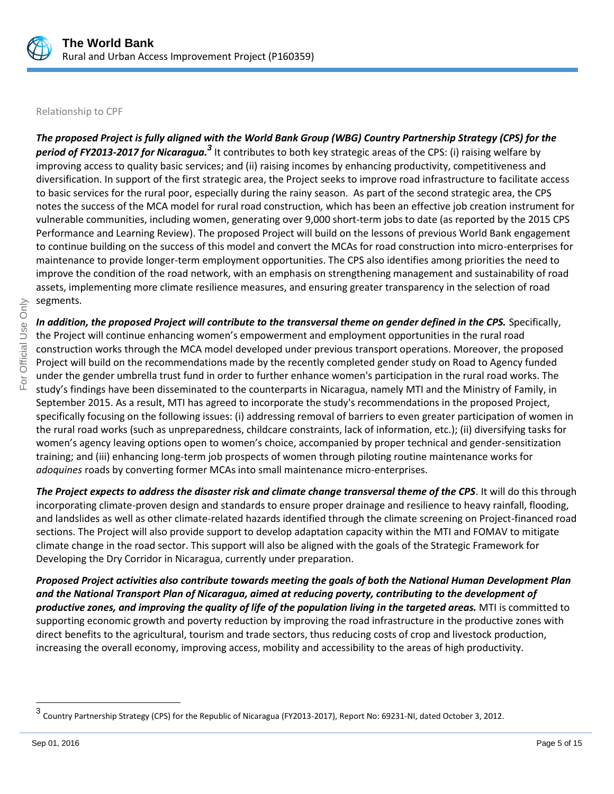

#### Relationship to CPF

*The proposed Project is fully aligned with the World Bank Group (WBG) Country Partnership Strategy (CPS) for the period of FY2013-2017 for Nicaragua.<sup>3</sup>* It contributes to both key strategic areas of the CPS: (i) raising welfare by improving access to quality basic services; and (ii) raising incomes by enhancing productivity, competitiveness and diversification. In support of the first strategic area, the Project seeks to improve road infrastructure to facilitate access to basic services for the rural poor, especially during the rainy season. As part of the second strategic area, the CPS notes the success of the MCA model for rural road construction*,* which has been an effective job creation instrument for vulnerable communities, including women, generating over 9,000 short-term jobs to date (as reported by the 2015 CPS Performance and Learning Review). The proposed Project will build on the lessons of previous World Bank engagement to continue building on the success of this model and convert the MCAs for road construction into micro-enterprises for maintenance to provide longer-term employment opportunities. The CPS also identifies among priorities the need to improve the condition of the road network, with an emphasis on strengthening management and sustainability of road assets, implementing more climate resilience measures, and ensuring greater transparency in the selection of road segments.

*In addition, the proposed Project will contribute to the transversal theme on gender defined in the CPS.* Specifically, the Project will continue enhancing women's empowerment and employment opportunities in the rural road construction works through the MCA model developed under previous transport operations. Moreover, the proposed Project will build on the recommendations made by the recently completed gender study on Road to Agency funded under the gender umbrella trust fund in order to further enhance women's participation in the rural road works. The study's findings have been disseminated to the counterparts in Nicaragua, namely MTI and the Ministry of Family, in September 2015. As a result, MTI has agreed to incorporate the study's recommendations in the proposed Project, specifically focusing on the following issues: (i) addressing removal of barriers to even greater participation of women in the rural road works (such as unpreparedness, childcare constraints, lack of information, etc.); (ii) diversifying tasks for women's agency leaving options open to women's choice, accompanied by proper technical and gender-sensitization training; and (iii) enhancing long-term job prospects of women through piloting routine maintenance works for *adoquines* roads by converting former MCAs into small maintenance micro-enterprises.

*The Project expects to address the disaster risk and climate change transversal theme of the CPS*. It will do this through incorporating climate-proven design and standards to ensure proper drainage and resilience to heavy rainfall, flooding, and landslides as well as other climate-related hazards identified through the climate screening on Project-financed road sections. The Project will also provide support to develop adaptation capacity within the MTI and FOMAV to mitigate climate change in the road sector. This support will also be aligned with the goals of the Strategic Framework for Developing the Dry Corridor in Nicaragua, currently under preparation.

*Proposed Project activities also contribute towards meeting the goals of both the National Human Development Plan and the National Transport Plan of Nicaragua, aimed at reducing poverty, contributing to the development of productive zones, and improving the quality of life of the population living in the targeted areas.* MTI is committed to supporting economic growth and poverty reduction by improving the road infrastructure in the productive zones with direct benefits to the agricultural, tourism and trade sectors, thus reducing costs of crop and livestock production, increasing the overall economy, improving access, mobility and accessibility to the areas of high productivity.

 $\overline{a}$ 

<sup>3</sup> Country Partnership Strategy (CPS) for the Republic of Nicaragua (FY2013-2017), Report No: 69231-NI, dated October 3, 2012.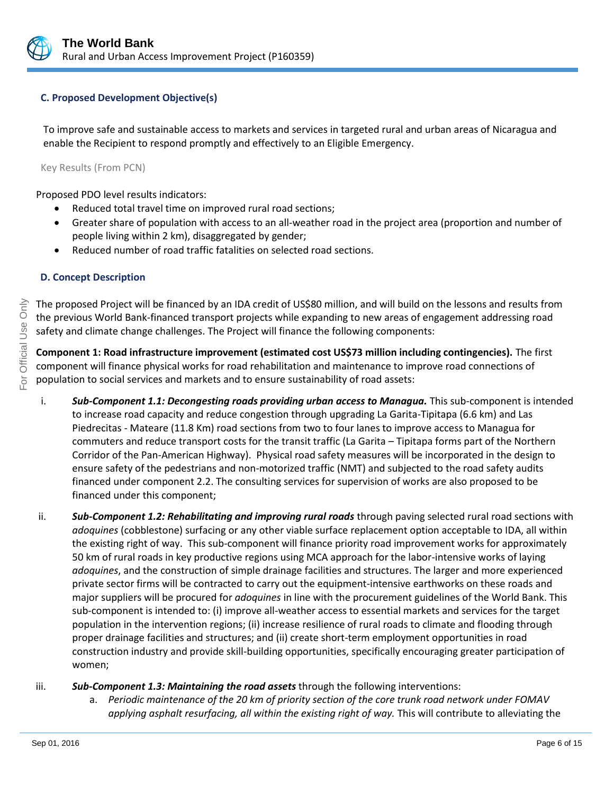

#### **C. Proposed Development Objective(s)**

To improve safe and sustainable access to markets and services in targeted rural and urban areas of Nicaragua and enable the Recipient to respond promptly and effectively to an Eligible Emergency.

Key Results (From PCN)

Proposed PDO level results indicators:

- Reduced total travel time on improved rural road sections;
- Greater share of population with access to an all-weather road in the project area (proportion and number of people living within 2 km), disaggregated by gender;
- Reduced number of road traffic fatalities on selected road sections.

#### **D. Concept Description**

The proposed Project will be financed by an IDA credit of US\$80 million, and will build on the lessons and results from the previous World Bank-financed transport projects while expanding to new areas of engagement addressing road safety and climate change challenges. The Project will finance the following components:

**Component 1: Road infrastructure improvement (estimated cost US\$73 million including contingencies).** The first component will finance physical works for road rehabilitation and maintenance to improve road connections of population to social services and markets and to ensure sustainability of road assets:

- i. *Sub-Component 1.1: Decongesting roads providing urban access to Managua.* This sub-component is intended to increase road capacity and reduce congestion through upgrading La Garita-Tipitapa (6.6 km) and Las Piedrecitas - Mateare (11.8 Km) road sections from two to four lanes to improve access to Managua for commuters and reduce transport costs for the transit traffic (La Garita – Tipitapa forms part of the Northern Corridor of the Pan-American Highway). Physical road safety measures will be incorporated in the design to ensure safety of the pedestrians and non-motorized traffic (NMT) and subjected to the road safety audits financed under component 2.2. The consulting services for supervision of works are also proposed to be financed under this component;
- ii. *Sub-Component 1.2: Rehabilitating and improving rural roads* through paving selected rural road sections with *adoquines* (cobblestone) surfacing or any other viable surface replacement option acceptable to IDA, all within the existing right of way. This sub-component will finance priority road improvement works for approximately 50 km of rural roads in key productive regions using MCA approach for the labor-intensive works of laying *adoquines*, and the construction of simple drainage facilities and structures. The larger and more experienced private sector firms will be contracted to carry out the equipment-intensive earthworks on these roads and major suppliers will be procured for *adoquines* in line with the procurement guidelines of the World Bank. This sub-component is intended to: (i) improve all-weather access to essential markets and services for the target population in the intervention regions; (ii) increase resilience of rural roads to climate and flooding through proper drainage facilities and structures; and (ii) create short-term employment opportunities in road construction industry and provide skill-building opportunities, specifically encouraging greater participation of women;

#### iii. *Sub-Component 1.3: Maintaining the road assets* through the following interventions:

a. *Periodic maintenance of the 20 km of priority section of the core trunk road network under FOMAV applying asphalt resurfacing, all within the existing right of way.* This will contribute to alleviating the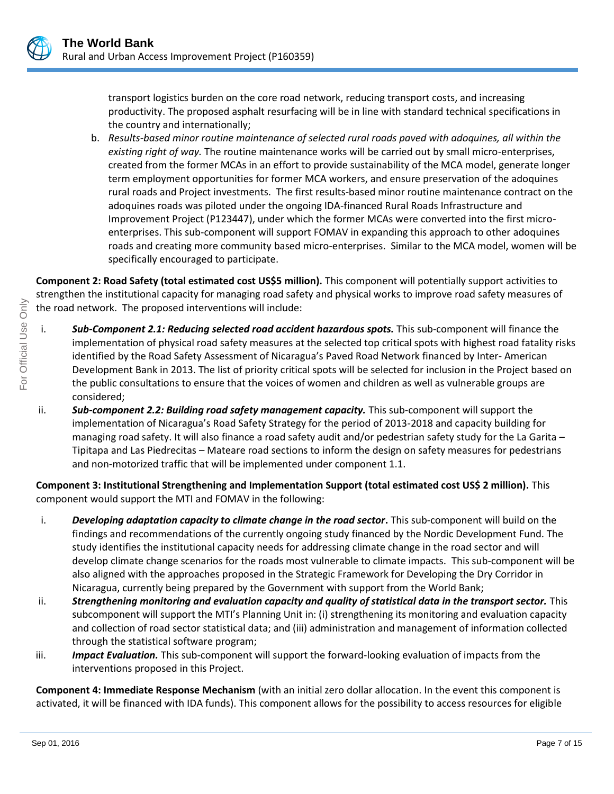

transport logistics burden on the core road network, reducing transport costs, and increasing productivity. The proposed asphalt resurfacing will be in line with standard technical specifications in the country and internationally;

b. *Results-based minor routine maintenance of selected rural roads paved with adoquines, all within the existing right of way.* The routine maintenance works will be carried out by small micro-enterprises, created from the former MCAs in an effort to provide sustainability of the MCA model, generate longer term employment opportunities for former MCA workers, and ensure preservation of the adoquines rural roads and Project investments. The first results-based minor routine maintenance contract on the adoquines roads was piloted under the ongoing IDA-financed Rural Roads Infrastructure and Improvement Project (P123447), under which the former MCAs were converted into the first microenterprises. This sub-component will support FOMAV in expanding this approach to other adoquines roads and creating more community based micro-enterprises. Similar to the MCA model, women will be specifically encouraged to participate.

**Component 2: Road Safety (total estimated cost US\$5 million).** This component will potentially support activities to strengthen the institutional capacity for managing road safety and physical works to improve road safety measures of the road network. The proposed interventions will include:

- i. **Sub-Component 2.1: Reducing selected road accident hazardous spots.** This sub-component will finance the implementation of physical road safety measures at the selected top critical spots with highest road fatality risks identified by the Road Safety Assessment of Nicaragua's Paved Road Network financed by Inter- American Development Bank in 2013. The list of priority critical spots will be selected for inclusion in the Project based on the public consultations to ensure that the voices of women and children as well as vulnerable groups are considered;
- ii. *Sub-component 2.2: Building road safety management capacity.* This sub-component will support the implementation of Nicaragua's Road Safety Strategy for the period of 2013-2018 and capacity building for managing road safety. It will also finance a road safety audit and/or pedestrian safety study for the La Garita – Tipitapa and Las Piedrecitas – Mateare road sections to inform the design on safety measures for pedestrians and non-motorized traffic that will be implemented under component 1.1.

**Component 3: Institutional Strengthening and Implementation Support (total estimated cost US\$ 2 million).** This component would support the MTI and FOMAV in the following:

- i. *Developing adaptation capacity to climate change in the road sector***.** This sub-component will build on the findings and recommendations of the currently ongoing study financed by the Nordic Development Fund. The study identifies the institutional capacity needs for addressing climate change in the road sector and will develop climate change scenarios for the roads most vulnerable to climate impacts. This sub-component will be also aligned with the approaches proposed in the Strategic Framework for Developing the Dry Corridor in Nicaragua, currently being prepared by the Government with support from the World Bank;
- ii. *Strengthening monitoring and evaluation capacity and quality of statistical data in the transport sector.* This subcomponent will support the MTI's Planning Unit in: (i) strengthening its monitoring and evaluation capacity and collection of road sector statistical data; and (iii) administration and management of information collected through the statistical software program;
- iii. *Impact Evaluation.* This sub-component will support the forward-looking evaluation of impacts from the interventions proposed in this Project.

**Component 4: Immediate Response Mechanism** (with an initial zero dollar allocation. In the event this component is activated, it will be financed with IDA funds). This component allows for the possibility to access resources for eligible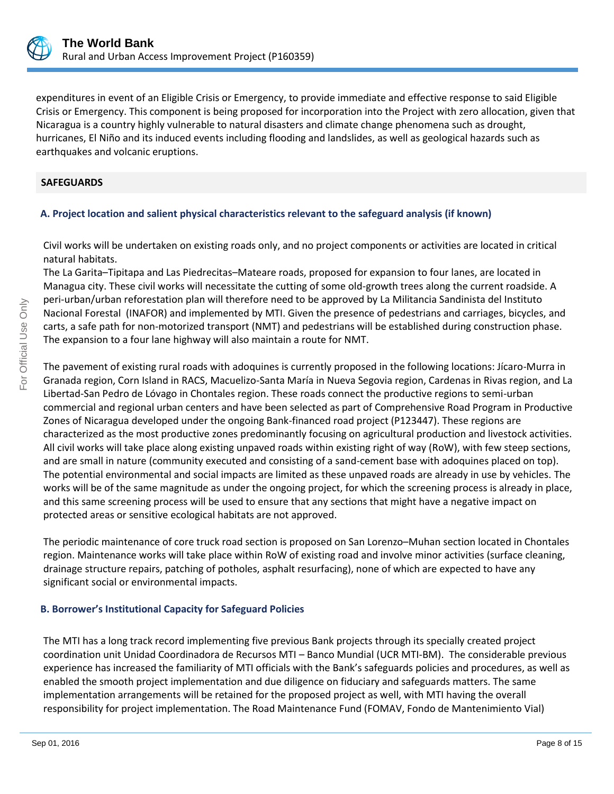

expenditures in event of an Eligible Crisis or Emergency, to provide immediate and effective response to said Eligible Crisis or Emergency. This component is being proposed for incorporation into the Project with zero allocation, given that Nicaragua is a country highly vulnerable to natural disasters and climate change phenomena such as drought, hurricanes, El Niño and its induced events including flooding and landslides, as well as geological hazards such as earthquakes and volcanic eruptions.

#### **SAFEGUARDS**

#### **A. Project location and salient physical characteristics relevant to the safeguard analysis (if known)**

Civil works will be undertaken on existing roads only, and no project components or activities are located in critical natural habitats.

The La Garita–Tipitapa and Las Piedrecitas–Mateare roads, proposed for expansion to four lanes, are located in Managua city. These civil works will necessitate the cutting of some old-growth trees along the current roadside. A peri-urban/urban reforestation plan will therefore need to be approved by La Militancia Sandinista del Instituto Nacional Forestal (INAFOR) and implemented by MTI. Given the presence of pedestrians and carriages, bicycles, and carts, a safe path for non-motorized transport (NMT) and pedestrians will be established during construction phase. The expansion to a four lane highway will also maintain a route for NMT.

The pavement of existing rural roads with adoquines is currently proposed in the following locations: Jícaro-Murra in Granada region, Corn Island in RACS, Macuelizo-Santa María in Nueva Segovia region, Cardenas in Rivas region, and La Libertad-San Pedro de Lóvago in Chontales region. These roads connect the productive regions to semi-urban commercial and regional urban centers and have been selected as part of Comprehensive Road Program in Productive Zones of Nicaragua developed under the ongoing Bank-financed road project (P123447). These regions are characterized as the most productive zones predominantly focusing on agricultural production and livestock activities. All civil works will take place along existing unpaved roads within existing right of way (RoW), with few steep sections, and are small in nature (community executed and consisting of a sand-cement base with adoquines placed on top). The potential environmental and social impacts are limited as these unpaved roads are already in use by vehicles. The works will be of the same magnitude as under the ongoing project, for which the screening process is already in place, and this same screening process will be used to ensure that any sections that might have a negative impact on protected areas or sensitive ecological habitats are not approved.

The periodic maintenance of core truck road section is proposed on San Lorenzo–Muhan section located in Chontales region. Maintenance works will take place within RoW of existing road and involve minor activities (surface cleaning, drainage structure repairs, patching of potholes, asphalt resurfacing), none of which are expected to have any significant social or environmental impacts.

#### **B. Borrower's Institutional Capacity for Safeguard Policies**

The MTI has a long track record implementing five previous Bank projects through its specially created project coordination unit Unidad Coordinadora de Recursos MTI – Banco Mundial (UCR MTI-BM). The considerable previous experience has increased the familiarity of MTI officials with the Bank's safeguards policies and procedures, as well as enabled the smooth project implementation and due diligence on fiduciary and safeguards matters. The same implementation arrangements will be retained for the proposed project as well, with MTI having the overall responsibility for project implementation. The Road Maintenance Fund (FOMAV, Fondo de Mantenimiento Vial)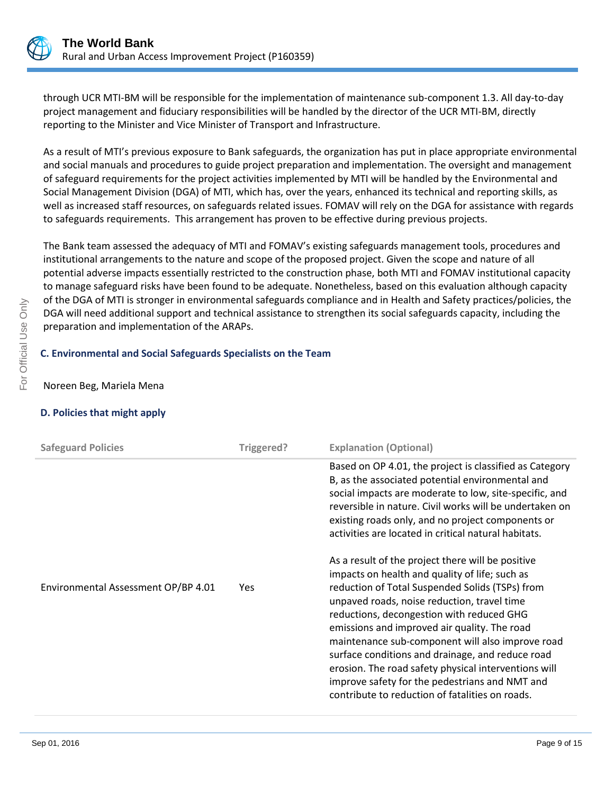

through UCR MTI-BM will be responsible for the implementation of maintenance sub-component 1.3. All day-to-day project management and fiduciary responsibilities will be handled by the director of the UCR MTI-BM, directly reporting to the Minister and Vice Minister of Transport and Infrastructure.

As a result of MTI's previous exposure to Bank safeguards, the organization has put in place appropriate environmental and social manuals and procedures to guide project preparation and implementation. The oversight and management of safeguard requirements for the project activities implemented by MTI will be handled by the Environmental and Social Management Division (DGA) of MTI, which has, over the years, enhanced its technical and reporting skills, as well as increased staff resources, on safeguards related issues. FOMAV will rely on the DGA for assistance with regards to safeguards requirements. This arrangement has proven to be effective during previous projects.

The Bank team assessed the adequacy of MTI and FOMAV's existing safeguards management tools, procedures and institutional arrangements to the nature and scope of the proposed project. Given the scope and nature of all potential adverse impacts essentially restricted to the construction phase, both MTI and FOMAV institutional capacity to manage safeguard risks have been found to be adequate. Nonetheless, based on this evaluation although capacity of the DGA of MTI is stronger in environmental safeguards compliance and in Health and Safety practices/policies, the DGA will need additional support and technical assistance to strengthen its social safeguards capacity, including the preparation and implementation of the ARAPs.

#### **C. Environmental and Social Safeguards Specialists on the Team**

Noreen Beg, Mariela Mena

#### **D. Policies that might apply**

| <b>Safeguard Policies</b>           | Triggered? | <b>Explanation (Optional)</b>                                                                                                                                                                                                                                                                                                                                                                                                                                                                                                                                           |
|-------------------------------------|------------|-------------------------------------------------------------------------------------------------------------------------------------------------------------------------------------------------------------------------------------------------------------------------------------------------------------------------------------------------------------------------------------------------------------------------------------------------------------------------------------------------------------------------------------------------------------------------|
|                                     |            | Based on OP 4.01, the project is classified as Category<br>B, as the associated potential environmental and<br>social impacts are moderate to low, site-specific, and<br>reversible in nature. Civil works will be undertaken on<br>existing roads only, and no project components or<br>activities are located in critical natural habitats.                                                                                                                                                                                                                           |
| Environmental Assessment OP/BP 4.01 | Yes        | As a result of the project there will be positive<br>impacts on health and quality of life; such as<br>reduction of Total Suspended Solids (TSPs) from<br>unpaved roads, noise reduction, travel time<br>reductions, decongestion with reduced GHG<br>emissions and improved air quality. The road<br>maintenance sub-component will also improve road<br>surface conditions and drainage, and reduce road<br>erosion. The road safety physical interventions will<br>improve safety for the pedestrians and NMT and<br>contribute to reduction of fatalities on roads. |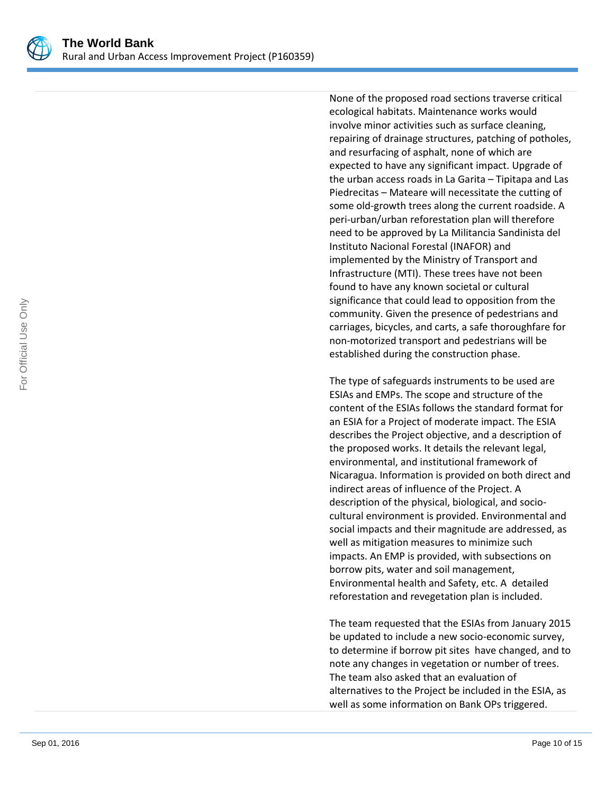

None of the proposed road sections traverse critical ecological habitats. Maintenance works would involve minor activities such as surface cleaning, repairing of drainage structures, patching of potholes, and resurfacing of asphalt, none of which are expected to have any significant impact. Upgrade of the urban access roads in La Garita – Tipitapa and Las Piedrecitas – Mateare will necessitate the cutting of some old-growth trees along the current roadside. A peri-urban/urban reforestation plan will therefore need to be approved by La Militancia Sandinista del Instituto Nacional Forestal (INAFOR) and implemented by the Ministry of Transport and Infrastructure (MTI). These trees have not been found to have any known societal or cultural significance that could lead to opposition from the community. Given the presence of pedestrians and carriages, bicycles, and carts, a safe thoroughfare for non-motorized transport and pedestrians will be established during the construction phase.

The type of safeguards instruments to be used are ESIAs and EMPs. The scope and structure of the content of the ESIAs follows the standard format for an ESIA for a Project of moderate impact. The ESIA describes the Project objective, and a description of the proposed works. It details the relevant legal, environmental, and institutional framework of Nicaragua. Information is provided on both direct and indirect areas of influence of the Project. A description of the physical, biological, and sociocultural environment is provided. Environmental and social impacts and their magnitude are addressed, as well as mitigation measures to minimize such impacts. An EMP is provided, with subsections on borrow pits, water and soil management, Environmental health and Safety, etc. A detailed reforestation and revegetation plan is included.

The team requested that the ESIAs from January 2015 be updated to include a new socio-economic survey, to determine if borrow pit sites have changed, and to note any changes in vegetation or number of trees. The team also asked that an evaluation of alternatives to the Project be included in the ESIA, as well as some information on Bank OPs triggered.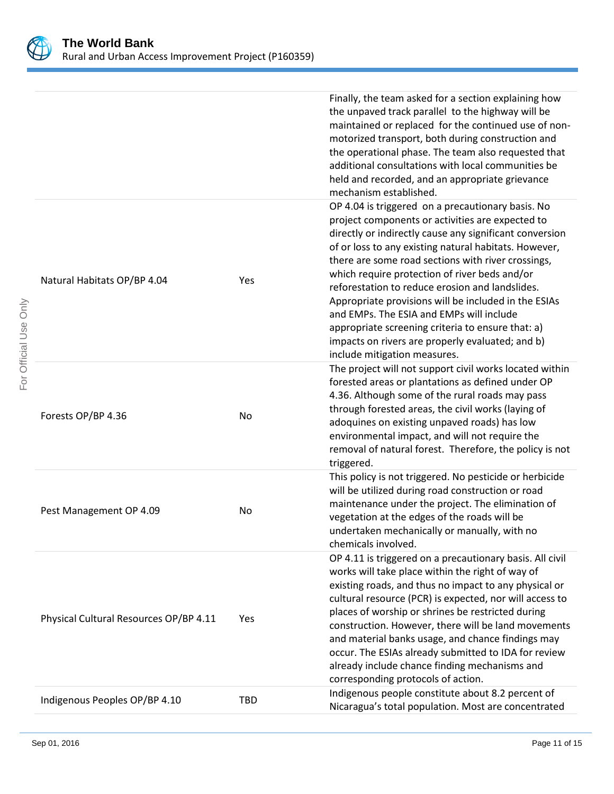

| For Official Use Only |                                        |            | Finally, the team asked for a section explaining how<br>the unpaved track parallel to the highway will be<br>maintained or replaced for the continued use of non-<br>motorized transport, both during construction and<br>the operational phase. The team also requested that<br>additional consultations with local communities be<br>held and recorded, and an appropriate grievance<br>mechanism established.                                                                                                                                                                                                                 |
|-----------------------|----------------------------------------|------------|----------------------------------------------------------------------------------------------------------------------------------------------------------------------------------------------------------------------------------------------------------------------------------------------------------------------------------------------------------------------------------------------------------------------------------------------------------------------------------------------------------------------------------------------------------------------------------------------------------------------------------|
|                       | Natural Habitats OP/BP 4.04            | Yes        | OP 4.04 is triggered on a precautionary basis. No<br>project components or activities are expected to<br>directly or indirectly cause any significant conversion<br>of or loss to any existing natural habitats. However,<br>there are some road sections with river crossings,<br>which require protection of river beds and/or<br>reforestation to reduce erosion and landslides.<br>Appropriate provisions will be included in the ESIAs<br>and EMPs. The ESIA and EMPs will include<br>appropriate screening criteria to ensure that: a)<br>impacts on rivers are properly evaluated; and b)<br>include mitigation measures. |
|                       | Forests OP/BP 4.36                     | No         | The project will not support civil works located within<br>forested areas or plantations as defined under OP<br>4.36. Although some of the rural roads may pass<br>through forested areas, the civil works (laying of<br>adoquines on existing unpaved roads) has low<br>environmental impact, and will not require the<br>removal of natural forest. Therefore, the policy is not<br>triggered.                                                                                                                                                                                                                                 |
|                       | Pest Management OP 4.09                | No         | This policy is not triggered. No pesticide or herbicide<br>will be utilized during road construction or road<br>maintenance under the project. The elimination of<br>vegetation at the edges of the roads will be<br>undertaken mechanically or manually, with no<br>chemicals involved.                                                                                                                                                                                                                                                                                                                                         |
|                       | Physical Cultural Resources OP/BP 4.11 | Yes        | OP 4.11 is triggered on a precautionary basis. All civil<br>works will take place within the right of way of<br>existing roads, and thus no impact to any physical or<br>cultural resource (PCR) is expected, nor will access to<br>places of worship or shrines be restricted during<br>construction. However, there will be land movements<br>and material banks usage, and chance findings may<br>occur. The ESIAs already submitted to IDA for review<br>already include chance finding mechanisms and<br>corresponding protocols of action.                                                                                 |
|                       | Indigenous Peoples OP/BP 4.10          | <b>TBD</b> | Indigenous people constitute about 8.2 percent of<br>Nicaragua's total population. Most are concentrated                                                                                                                                                                                                                                                                                                                                                                                                                                                                                                                         |
|                       |                                        |            |                                                                                                                                                                                                                                                                                                                                                                                                                                                                                                                                                                                                                                  |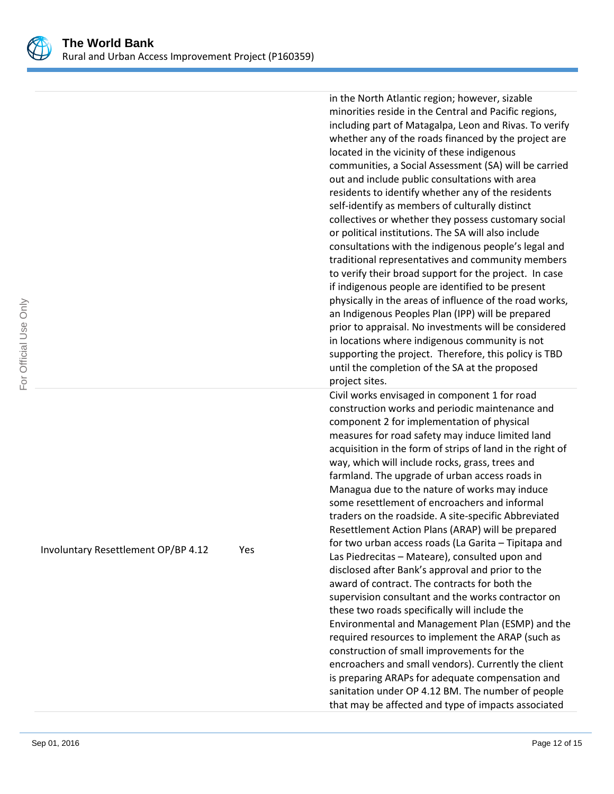

in the North Atlantic region; however, sizable minorities reside in the Central and Pacific regions, including part of Matagalpa, Leon and Rivas. To verify whether any of the roads financed by the project are located in the vicinity of these indigenous communities, a Social Assessment (SA) will be carried out and include public consultations with area residents to identify whether any of the residents self-identify as members of culturally distinct collectives or whether they possess customary social or political institutions. The SA will also include consultations with the indigenous people's legal and traditional representatives and community members to verify their broad support for the project. In case if indigenous people are identified to be present physically in the areas of influence of the road works, an Indigenous Peoples Plan (IPP) will be prepared prior to appraisal. No investments will be considered in locations where indigenous community is not supporting the project. Therefore, this policy is TBD until the completion of the SA at the proposed project sites. Civil works envisaged in component 1 for road

construction works and periodic maintenance and component 2 for implementation of physical measures for road safety may induce limited land acquisition in the form of strips of land in the right of way, which will include rocks, grass, trees and farmland. The upgrade of urban access roads in Managua due to the nature of works may induce some resettlement of encroachers and informal traders on the roadside. A site-specific Abbreviated Resettlement Action Plans (ARAP) will be prepared for two urban access roads (La Garita – Tipitapa and Las Piedrecitas – Mateare), consulted upon and disclosed after Bank's approval and prior to the award of contract. The contracts for both the supervision consultant and the works contractor on these two roads specifically will include the Environmental and Management Plan (ESMP) and the required resources to implement the ARAP (such as construction of small improvements for the encroachers and small vendors). Currently the client is preparing ARAPs for adequate compensation and sanitation under OP 4.12 BM. The number of people that may be affected and type of impacts associated

Involuntary Resettlement OP/BP 4.12 Yes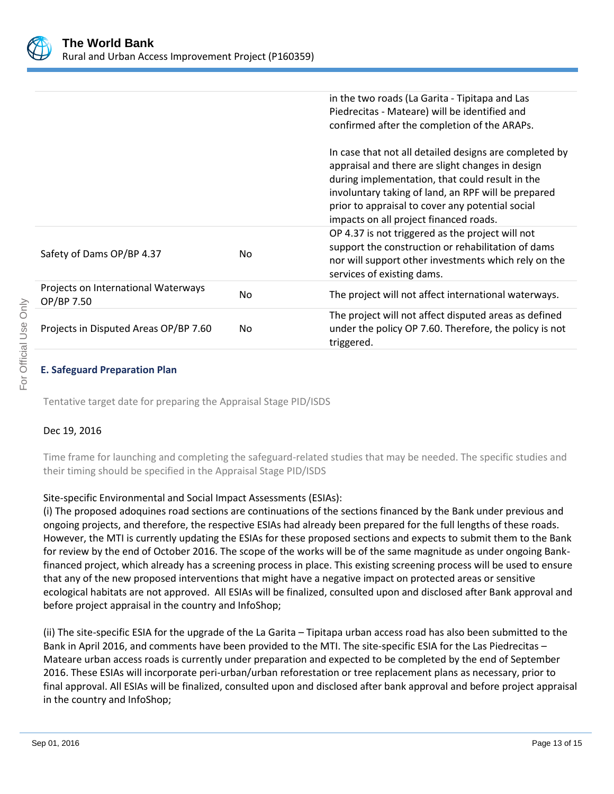

|                                                   |     | in the two roads (La Garita - Tipitapa and Las<br>Piedrecitas - Mateare) will be identified and<br>confirmed after the completion of the ARAPs.                                                                                                                                                                    |
|---------------------------------------------------|-----|--------------------------------------------------------------------------------------------------------------------------------------------------------------------------------------------------------------------------------------------------------------------------------------------------------------------|
|                                                   |     | In case that not all detailed designs are completed by<br>appraisal and there are slight changes in design<br>during implementation, that could result in the<br>involuntary taking of land, an RPF will be prepared<br>prior to appraisal to cover any potential social<br>impacts on all project financed roads. |
| Safety of Dams OP/BP 4.37                         | No. | OP 4.37 is not triggered as the project will not<br>support the construction or rehabilitation of dams<br>nor will support other investments which rely on the<br>services of existing dams.                                                                                                                       |
| Projects on International Waterways<br>OP/BP 7.50 | No  | The project will not affect international waterways.                                                                                                                                                                                                                                                               |
| Projects in Disputed Areas OP/BP 7.60             | No. | The project will not affect disputed areas as defined<br>under the policy OP 7.60. Therefore, the policy is not<br>triggered.                                                                                                                                                                                      |

### **E. Safeguard Preparation Plan**

Tentative target date for preparing the Appraisal Stage PID/ISDS

#### Dec 19, 2016

Time frame for launching and completing the safeguard-related studies that may be needed. The specific studies and their timing should be specified in the Appraisal Stage PID/ISDS

#### Site-specific Environmental and Social Impact Assessments (ESIAs):

(i) The proposed adoquines road sections are continuations of the sections financed by the Bank under previous and ongoing projects, and therefore, the respective ESIAs had already been prepared for the full lengths of these roads. However, the MTI is currently updating the ESIAs for these proposed sections and expects to submit them to the Bank for review by the end of October 2016. The scope of the works will be of the same magnitude as under ongoing Bankfinanced project, which already has a screening process in place. This existing screening process will be used to ensure that any of the new proposed interventions that might have a negative impact on protected areas or sensitive ecological habitats are not approved. All ESIAs will be finalized, consulted upon and disclosed after Bank approval and before project appraisal in the country and InfoShop;

(ii) The site-specific ESIA for the upgrade of the La Garita – Tipitapa urban access road has also been submitted to the Bank in April 2016, and comments have been provided to the MTI. The site-specific ESIA for the Las Piedrecitas – Mateare urban access roads is currently under preparation and expected to be completed by the end of September 2016. These ESIAs will incorporate peri-urban/urban reforestation or tree replacement plans as necessary, prior to final approval. All ESIAs will be finalized, consulted upon and disclosed after bank approval and before project appraisal in the country and InfoShop;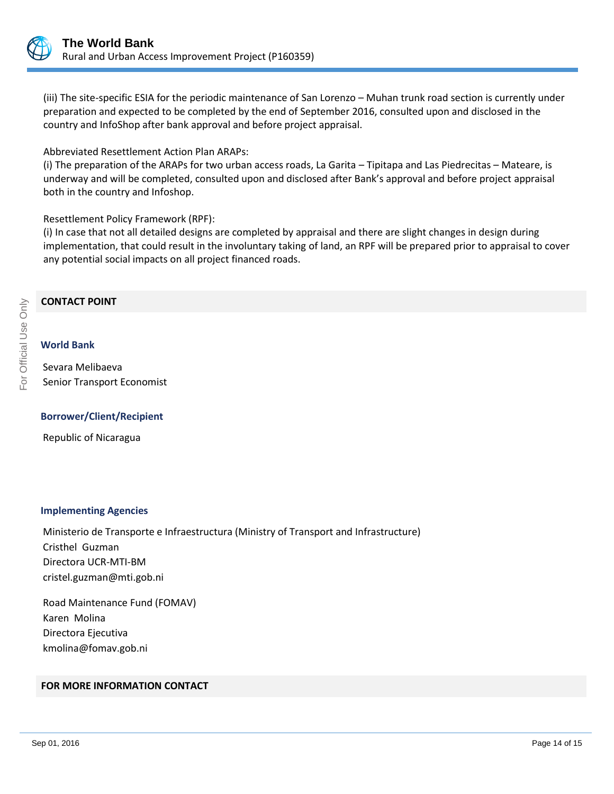

(iii) The site-specific ESIA for the periodic maintenance of San Lorenzo – Muhan trunk road section is currently under preparation and expected to be completed by the end of September 2016, consulted upon and disclosed in the country and InfoShop after bank approval and before project appraisal.

Abbreviated Resettlement Action Plan ARAPs:

(i) The preparation of the ARAPs for two urban access roads, La Garita – Tipitapa and Las Piedrecitas – Mateare, is underway and will be completed, consulted upon and disclosed after Bank's approval and before project appraisal both in the country and Infoshop.

#### Resettlement Policy Framework (RPF):

(i) In case that not all detailed designs are completed by appraisal and there are slight changes in design during implementation, that could result in the involuntary taking of land, an RPF will be prepared prior to appraisal to cover any potential social impacts on all project financed roads.

#### **CONTACT POINT**

**World Bank**

# For Official Use Only For Official Use Only

Sevara Melibaeva Senior Transport Economist

#### **Borrower/Client/Recipient**

Republic of Nicaragua

#### **Implementing Agencies**

Ministerio de Transporte e Infraestructura (Ministry of Transport and Infrastructure) Cristhel Guzman Directora UCR-MTI-BM cristel.guzman@mti.gob.ni

Road Maintenance Fund (FOMAV) Karen Molina Directora Ejecutiva kmolina@fomav.gob.ni

#### **FOR MORE INFORMATION CONTACT**